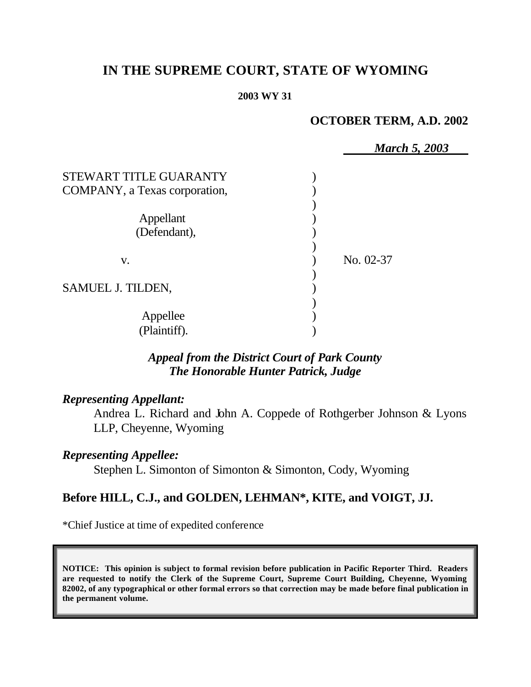# **IN THE SUPREME COURT, STATE OF WYOMING**

#### **2003 WY 31**

## **OCTOBER TERM, A.D. 2002**

|                                                         | <b>March 5, 2003</b> |
|---------------------------------------------------------|----------------------|
| STEWART TITLE GUARANTY<br>COMPANY, a Texas corporation, |                      |
| Appellant<br>(Defendant),                               |                      |
| V.                                                      | No. 02-37            |
| SAMUEL J. TILDEN,                                       |                      |
| Appellee<br>(Plaintiff).                                |                      |

## *Appeal from the District Court of Park County The Honorable Hunter Patrick, Judge*

## *Representing Appellant:*

Andrea L. Richard and John A. Coppede of Rothgerber Johnson & Lyons LLP, Cheyenne, Wyoming

## *Representing Appellee:*

Stephen L. Simonton of Simonton & Simonton, Cody, Wyoming

## **Before HILL, C.J., and GOLDEN, LEHMAN\*, KITE, and VOIGT, JJ.**

\*Chief Justice at time of expedited conference

**NOTICE: This opinion is subject to formal revision before publication in Pacific Reporter Third. Readers are requested to notify the Clerk of the Supreme Court, Supreme Court Building, Cheyenne, Wyoming 82002, of any typographical or other formal errors so that correction may be made before final publication in the permanent volume.**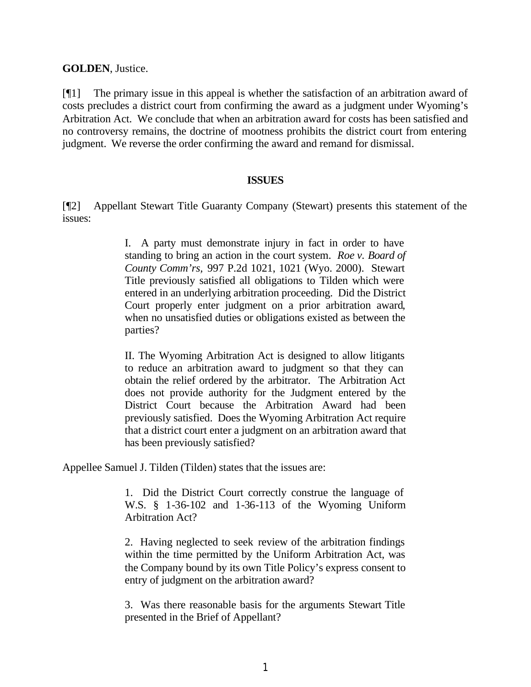**GOLDEN**, Justice.

[¶1] The primary issue in this appeal is whether the satisfaction of an arbitration award of costs precludes a district court from confirming the award as a judgment under Wyoming's Arbitration Act. We conclude that when an arbitration award for costs has been satisfied and no controversy remains, the doctrine of mootness prohibits the district court from entering judgment. We reverse the order confirming the award and remand for dismissal.

#### **ISSUES**

[¶2] Appellant Stewart Title Guaranty Company (Stewart) presents this statement of the issues:

> I. A party must demonstrate injury in fact in order to have standing to bring an action in the court system. *Roe v. Board of County Comm'rs,* 997 P.2d 1021, 1021 (Wyo. 2000). Stewart Title previously satisfied all obligations to Tilden which were entered in an underlying arbitration proceeding. Did the District Court properly enter judgment on a prior arbitration award, when no unsatisfied duties or obligations existed as between the parties?

> II. The Wyoming Arbitration Act is designed to allow litigants to reduce an arbitration award to judgment so that they can obtain the relief ordered by the arbitrator. The Arbitration Act does not provide authority for the Judgment entered by the District Court because the Arbitration Award had been previously satisfied. Does the Wyoming Arbitration Act require that a district court enter a judgment on an arbitration award that has been previously satisfied?

Appellee Samuel J. Tilden (Tilden) states that the issues are:

1. Did the District Court correctly construe the language of W.S. § 1-36-102 and 1-36-113 of the Wyoming Uniform Arbitration Act?

2. Having neglected to seek review of the arbitration findings within the time permitted by the Uniform Arbitration Act, was the Company bound by its own Title Policy's express consent to entry of judgment on the arbitration award?

3. Was there reasonable basis for the arguments Stewart Title presented in the Brief of Appellant?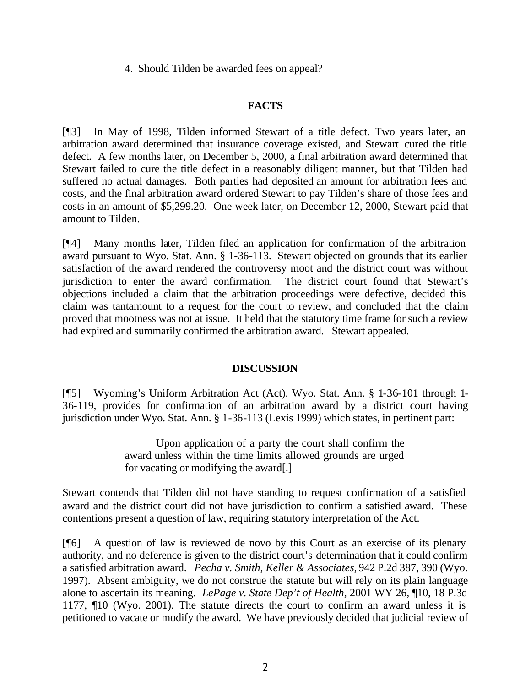4. Should Tilden be awarded fees on appeal?

### **FACTS**

[¶3] In May of 1998, Tilden informed Stewart of a title defect. Two years later, an arbitration award determined that insurance coverage existed, and Stewart cured the title defect. A few months later, on December 5, 2000, a final arbitration award determined that Stewart failed to cure the title defect in a reasonably diligent manner, but that Tilden had suffered no actual damages. Both parties had deposited an amount for arbitration fees and costs, and the final arbitration award ordered Stewart to pay Tilden's share of those fees and costs in an amount of \$5,299.20. One week later, on December 12, 2000, Stewart paid that amount to Tilden.

[¶4] Many months later, Tilden filed an application for confirmation of the arbitration award pursuant to Wyo. Stat. Ann. § 1-36-113. Stewart objected on grounds that its earlier satisfaction of the award rendered the controversy moot and the district court was without jurisdiction to enter the award confirmation. The district court found that Stewart's objections included a claim that the arbitration proceedings were defective, decided this claim was tantamount to a request for the court to review, and concluded that the claim proved that mootness was not at issue. It held that the statutory time frame for such a review had expired and summarily confirmed the arbitration award. Stewart appealed.

### **DISCUSSION**

[¶5] Wyoming's Uniform Arbitration Act (Act), Wyo. Stat. Ann. § 1-36-101 through 1- 36-119, provides for confirmation of an arbitration award by a district court having jurisdiction under Wyo. Stat. Ann. § 1-36-113 (Lexis 1999) which states, in pertinent part:

> Upon application of a party the court shall confirm the award unless within the time limits allowed grounds are urged for vacating or modifying the award[.]

Stewart contends that Tilden did not have standing to request confirmation of a satisfied award and the district court did not have jurisdiction to confirm a satisfied award. These contentions present a question of law, requiring statutory interpretation of the Act.

[¶6] A question of law is reviewed de novo by this Court as an exercise of its plenary authority, and no deference is given to the district court's determination that it could confirm a satisfied arbitration award. *Pecha v. Smith, Keller & Associates,* 942 P.2d 387, 390 (Wyo. 1997). Absent ambiguity, we do not construe the statute but will rely on its plain language alone to ascertain its meaning. *LePage v. State Dep't of Health,* 2001 WY 26, ¶10, 18 P.3d 1177, ¶10 (Wyo. 2001). The statute directs the court to confirm an award unless it is petitioned to vacate or modify the award. We have previously decided that judicial review of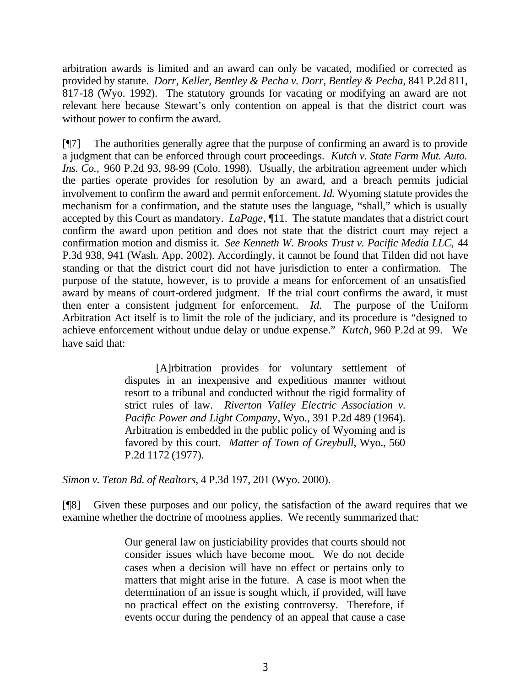arbitration awards is limited and an award can only be vacated, modified or corrected as provided by statute. *Dorr, Keller, Bentley & Pecha v. Dorr, Bentley & Pecha,* 841 P.2d 811, 817-18 (Wyo. 1992). The statutory grounds for vacating or modifying an award are not relevant here because Stewart's only contention on appeal is that the district court was without power to confirm the award.

[¶7] The authorities generally agree that the purpose of confirming an award is to provide a judgment that can be enforced through court proceedings. *Kutch v. State Farm Mut. Auto. Ins. Co.,* 960 P.2d 93, 98-99 (Colo. 1998). Usually, the arbitration agreement under which the parties operate provides for resolution by an award, and a breach permits judicial involvement to confirm the award and permit enforcement. *Id.* Wyoming statute provides the mechanism for a confirmation, and the statute uses the language, "shall," which is usually accepted by this Court as mandatory. *LaPage*, ¶11. The statute mandates that a district court confirm the award upon petition and does not state that the district court may reject a confirmation motion and dismiss it. *See Kenneth W. Brooks Trust v. Pacific Media LLC,* 44 P.3d 938, 941 (Wash. App. 2002). Accordingly, it cannot be found that Tilden did not have standing or that the district court did not have jurisdiction to enter a confirmation. The purpose of the statute, however, is to provide a means for enforcement of an unsatisfied award by means of court-ordered judgment. If the trial court confirms the award, it must then enter a consistent judgment for enforcement. *Id.* The purpose of the Uniform Arbitration Act itself is to limit the role of the judiciary, and its procedure is "designed to achieve enforcement without undue delay or undue expense." *Kutch,* 960 P.2d at 99. We have said that:

> [A]rbitration provides for voluntary settlement of disputes in an inexpensive and expeditious manner without resort to a tribunal and conducted without the rigid formality of strict rules of law. *Riverton Valley Electric Association v. Pacific Power and Light Company*, Wyo., 391 P.2d 489 (1964). Arbitration is embedded in the public policy of Wyoming and is favored by this court. *Matter of Town of Greybull*, Wyo., 560 P.2d 1172 (1977).

*Simon v. Teton Bd. of Realtors,* 4 P.3d 197, 201 (Wyo. 2000).

[¶8] Given these purposes and our policy, the satisfaction of the award requires that we examine whether the doctrine of mootness applies. We recently summarized that:

> Our general law on justiciability provides that courts should not consider issues which have become moot. We do not decide cases when a decision will have no effect or pertains only to matters that might arise in the future. A case is moot when the determination of an issue is sought which, if provided, will have no practical effect on the existing controversy. Therefore, if events occur during the pendency of an appeal that cause a case